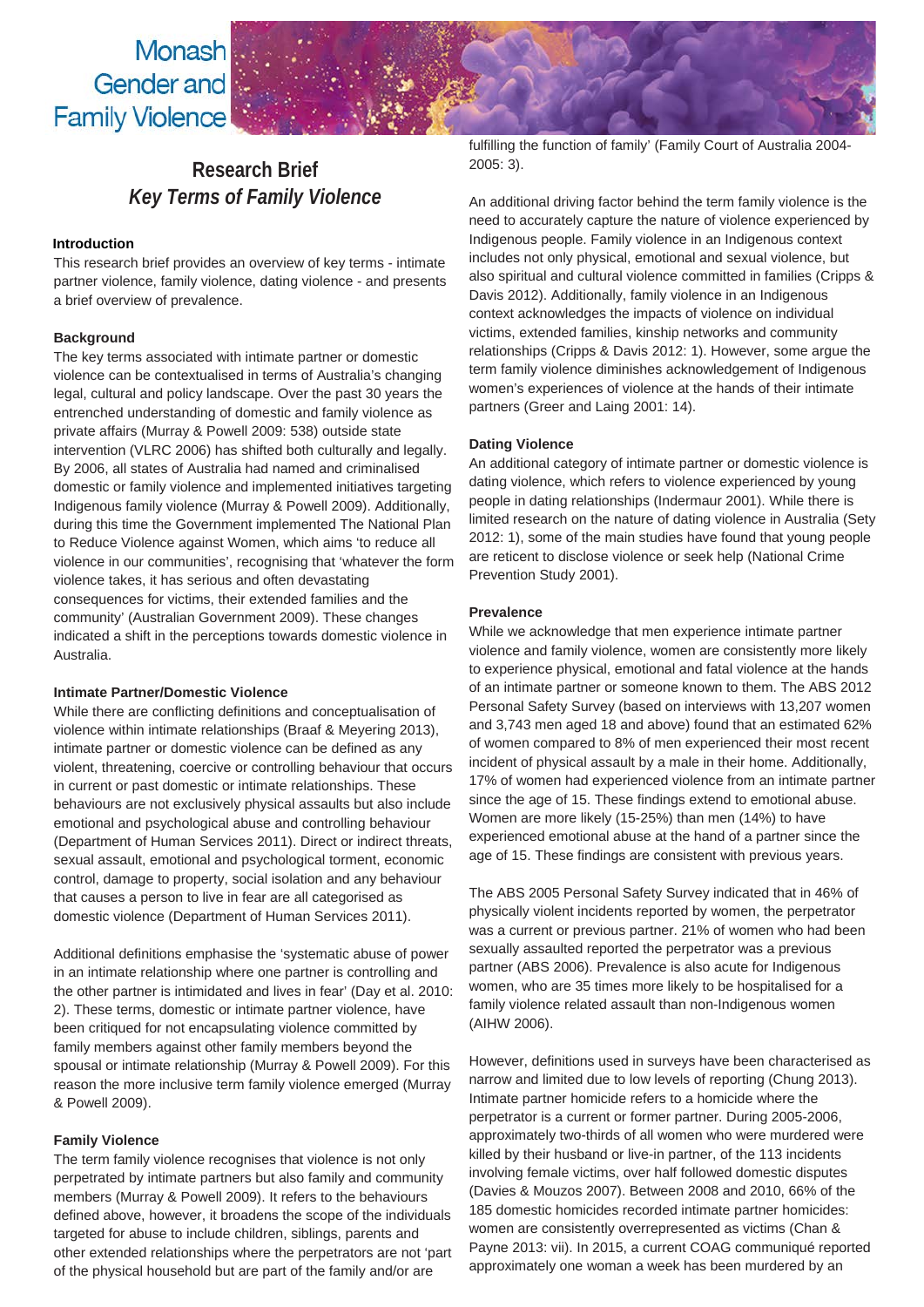Monash Gender and **Family Violence** 

# **Research Brief** *Key Terms of Family Violence*

# **Introduction**

This research brief provides an overview of key terms - intimate partner violence, family violence, dating violence - and presents a brief overview of prevalence.

# **Background**

The key terms associated with intimate partner or domestic violence can be contextualised in terms of Australia's changing legal, cultural and policy landscape. Over the past 30 years the entrenched understanding of domestic and family violence as private affairs (Murray & Powell 2009: 538) outside state intervention (VLRC 2006) has shifted both culturally and legally. By 2006, all states of Australia had named and criminalised domestic or family violence and implemented initiatives targeting Indigenous family violence (Murray & Powell 2009). Additionally, during this time the Government implemented The National Plan to Reduce Violence against Women, which aims 'to reduce all violence in our communities', recognising that 'whatever the form violence takes, it has serious and often devastating consequences for victims, their extended families and the community' (Australian Government 2009). These changes indicated a shift in the perceptions towards domestic violence in Australia.

## **Intimate Partner/Domestic Violence**

While there are conflicting definitions and conceptualisation of violence within intimate relationships (Braaf & Meyering 2013), intimate partner or domestic violence can be defined as any violent, threatening, coercive or controlling behaviour that occurs in current or past domestic or intimate relationships. These behaviours are not exclusively physical assaults but also include emotional and psychological abuse and controlling behaviour (Department of Human Services 2011). Direct or indirect threats, sexual assault, emotional and psychological torment, economic control, damage to property, social isolation and any behaviour that causes a person to live in fear are all categorised as domestic violence (Department of Human Services 2011).

Additional definitions emphasise the 'systematic abuse of power in an intimate relationship where one partner is controlling and the other partner is intimidated and lives in fear' (Day et al. 2010: 2). These terms, domestic or intimate partner violence, have been critiqued for not encapsulating violence committed by family members against other family members beyond the spousal or intimate relationship (Murray & Powell 2009). For this reason the more inclusive term family violence emerged (Murray & Powell 2009).

# **Family Violence**

The term family violence recognises that violence is not only perpetrated by intimate partners but also family and community members (Murray & Powell 2009). It refers to the behaviours defined above, however, it broadens the scope of the individuals targeted for abuse to include children, siblings, parents and other extended relationships where the perpetrators are not 'part of the physical household but are part of the family and/or are

fulfilling the function of family' (Family Court of Australia 2004- 2005: 3).

An additional driving factor behind the term family violence is the need to accurately capture the nature of violence experienced by Indigenous people. Family violence in an Indigenous context includes not only physical, emotional and sexual violence, but also spiritual and cultural violence committed in families (Cripps & Davis 2012). Additionally, family violence in an Indigenous context acknowledges the impacts of violence on individual victims, extended families, kinship networks and community relationships (Cripps & Davis 2012: 1). However, some argue the term family violence diminishes acknowledgement of Indigenous women's experiences of violence at the hands of their intimate partners (Greer and Laing 2001: 14).

# **Dating Violence**

An additional category of intimate partner or domestic violence is dating violence, which refers to violence experienced by young people in dating relationships (Indermaur 2001). While there is limited research on the nature of dating violence in Australia (Sety 2012: 1), some of the main studies have found that young people are reticent to disclose violence or seek help (National Crime Prevention Study 2001).

## **Prevalence**

While we acknowledge that men experience intimate partner violence and family violence, women are consistently more likely to experience physical, emotional and fatal violence at the hands of an intimate partner or someone known to them. The ABS 2012 Personal Safety Survey (based on interviews with 13,207 women and 3,743 men aged 18 and above) found that an estimated 62% of women compared to 8% of men experienced their most recent incident of physical assault by a male in their home. Additionally, 17% of women had experienced violence from an intimate partner since the age of 15. These findings extend to emotional abuse. Women are more likely (15-25%) than men (14%) to have experienced emotional abuse at the hand of a partner since the age of 15. These findings are consistent with previous years.

The ABS 2005 Personal Safety Survey indicated that in 46% of physically violent incidents reported by women, the perpetrator was a current or previous partner. 21% of women who had been sexually assaulted reported the perpetrator was a previous partner (ABS 2006). Prevalence is also acute for Indigenous women, who are 35 times more likely to be hospitalised for a family violence related assault than non-Indigenous women (AIHW 2006).

However, definitions used in surveys have been characterised as narrow and limited due to low levels of reporting (Chung 2013). Intimate partner homicide refers to a homicide where the perpetrator is a current or former partner. During 2005-2006, approximately two-thirds of all women who were murdered were killed by their husband or live-in partner, of the 113 incidents involving female victims, over half followed domestic disputes (Davies & Mouzos 2007). Between 2008 and 2010, 66% of the 185 domestic homicides recorded intimate partner homicides: women are consistently overrepresented as victims (Chan & Payne 2013: vii). In 2015, a current COAG communiqué reported approximately one woman a week has been murdered by an